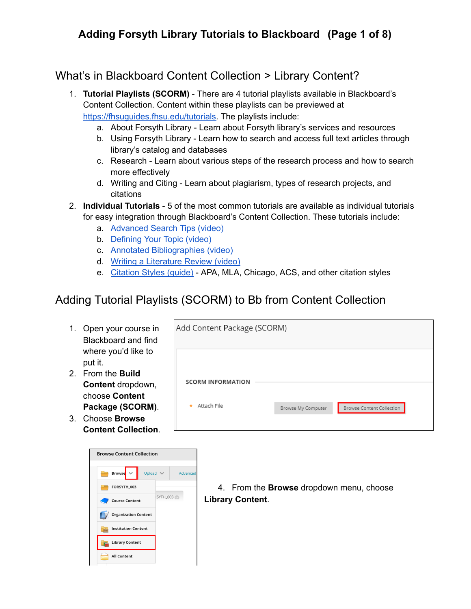## **Adding Forsyth Library Tutorials to Blackboard (Page 1 of 8)**

### What's in Blackboard Content Collection > Library Content?

- 1. **Tutorial Playlists (SCORM)** There are 4 tutorial playlists available in Blackboard's Content Collection. Content within these playlists can be previewed at [https://fhsuguides.fhsu.edu/tutorials.](https://fhsuguides.fhsu.edu/tutorials) The playlists include:
	- a. About Forsyth Library Learn about Forsyth library's services and resources
	- b. Using Forsyth Library Learn how to search and access full text articles through library's catalog and databases
	- c. Research Learn about various steps of the research process and how to search more effectively
	- d. Writing and Citing Learn about plagiarism, types of research projects, and citations
- 2. **Individual Tutorials** 5 of the most common tutorials are available as individual tutorials for easy integration through Blackboard's Content Collection. These tutorials include:
	- a. [Advanced](https://use.vg/um0h1r) Search Tips (video)
	- b. [Defining](http://use.vg/oz0nGN) Your Topic (video)
	- c. Annotated [Bibliographies](https://use.vg/bO6kRJ) (video)
	- d. Writing a [Literature](https://use.vg/scg5Qn) Review (video)
	- e. [Citation](https://fhsuguides.fhsu.edu/citation) Styles (guide) APA, MLA, Chicago, ACS, and other citation styles

### Adding Tutorial Playlists (SCORM) to Bb from Content Collection

- 1. Open your course in Blackboard and find where you'd like to put it.
- 2. From the **Build Content** dropdown, choose **Content Package (SCORM)**.
- 3. Choose **Browse Content Collection**.



| Add Content Package (SCORM) |                    |                           |
|-----------------------------|--------------------|---------------------------|
|                             |                    |                           |
| <b>SCORM INFORMATION</b>    |                    |                           |
| Attach File<br>$\star$      | Browse My Computer | Browse Content Collection |

4. From the **Browse** dropdown menu, choose **Library Content**.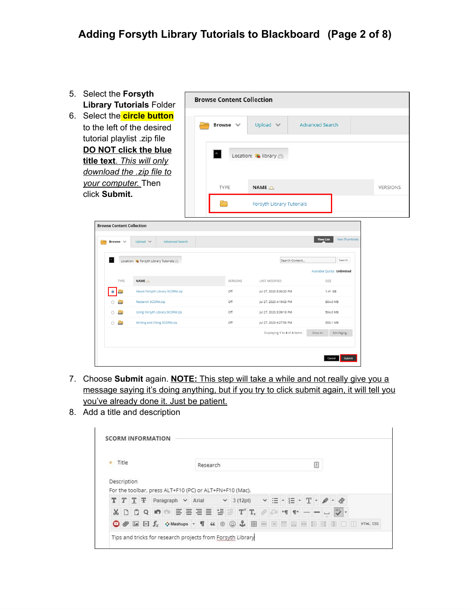- 5. Select the **Forsyth Library Tutorials** Folder
- 6. Select the **circle button** to the left of the desired tutorial playlist .zip file **DO NOT click the blue title text**. *This will only download the .zip file to your computer.* Then click **Submit.**



| <b>Browse Content Collection</b> |                                        |          |                              |                                            |
|----------------------------------|----------------------------------------|----------|------------------------------|--------------------------------------------|
| Browse $\vee$                    | Upload V<br><b>Advanced Search</b>     |          |                              | <b>View Thumbnails</b><br><b>View List</b> |
| $\triangle$                      | Location: Co Forsyth Library Tutorials |          | Search Content               | Search                                     |
|                                  |                                        |          |                              | Available Quota: Unlimited                 |
| TYPE                             | NAME $\triangle$                       | VERSIONS | <b>LAST MODIFIED</b>         | SIZE                                       |
| ana.<br>Aire                     | About Forsyth Library SCORM.zip        | Off      | Jul 27, 2020 3:30:20 PM      | 1.41 GB                                    |
| <b>Allan</b><br>Ω                | Research SCORM.zip                     | Off      | Jul 27, 2020 4:19:03 PM      | 804.0 MB                                   |
| $\equiv$<br>$\bigcirc$           | Using Forsyth Library SCORM.zip        | Off      | Jul 27, 2020 3:39:18 PM      | 504.0 MB                                   |
| $\frac{1}{2}$<br>$\circ$         | Writing and Citing SCORM.zip           | Off      | Jul 27, 2020 4:27:59 PM      | 593.1 MB                                   |
|                                  |                                        |          | Displaying 1 to 4 of 4 items | Show All<br>Edit Paging                    |
|                                  |                                        |          |                              |                                            |
|                                  |                                        |          |                              |                                            |
|                                  |                                        |          |                              | Submit<br>Cancel                           |

- 7. Choose **Submit** again. **NOTE:** This step will take a while and not really give you a message saying it's doing anything, but if you try to click submit again, it will tell you you've already done it. Just be patient.
- 8. Add a title and description

| Title<br>$\pm$ |                      |  | Research<br>昌 |                   |  |  |                                                                                             |  |  |  |  |                                    |  |            |  |  |
|----------------|----------------------|--|---------------|-------------------|--|--|---------------------------------------------------------------------------------------------|--|--|--|--|------------------------------------|--|------------|--|--|
|                | Description          |  |               |                   |  |  |                                                                                             |  |  |  |  |                                    |  |            |  |  |
|                | $T$ T $\overline{T}$ |  |               | Paragraph v Arial |  |  | For the toolbar, press ALT+F10 (PC) or ALT+FN+F10 (Mac).<br>$\vee$ 3 (12pt) $\vee$ $\equiv$ |  |  |  |  | $\cdot$ E $\cdot$ T $\cdot$ $\neq$ |  |            |  |  |
| ¥.             |                      |  |               |                   |  |  | $D$ $D$ $Q$ $M$ $m$ $E$ $E$ $E$ $E$ $E$ $E$ $E$ $E$ $E$ $T$ $T_x$ $P$ $P$ $M$ $T$ $T$       |  |  |  |  |                                    |  | <b>ABS</b> |  |  |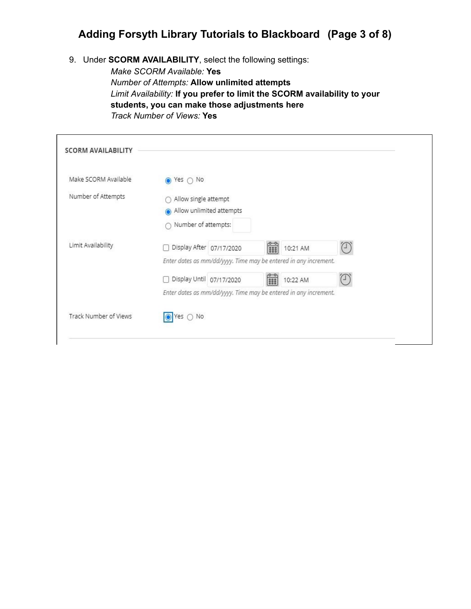### **Adding Forsyth Library Tutorials to Blackboard (Page 3 of 8)**

9. Under **SCORM AVAILABILITY**, select the following settings:

*Make SCORM Available:* **Yes** *Number of Attempts:* **Allow unlimited attempts** *Limit Availability:* **If you prefer to limit the SCORM availability to your students, you can make those adjustments here** *Track Number of Views:* **Yes**

| Make SCORM Available  | Yes $\bigcap$ No<br>$\Omega$                                     |   |          |                |
|-----------------------|------------------------------------------------------------------|---|----------|----------------|
| Number of Attempts    | Allow single attempt                                             |   |          |                |
|                       | Allow unlimited attempts                                         |   |          |                |
|                       | Number of attempts:<br>∩                                         |   |          |                |
| Limit Availability    | Display After   07/17/2020                                       | 鶥 | 10:21 AM | $(\mathsf{I})$ |
|                       | Enter dates as mm/dd/yyyy. Time may be entered in any increment. |   |          |                |
|                       | Display Until 07/17/2020                                         | F | 10:22 AM |                |
|                       | Enter dates as mm/dd/yyyy. Time may be entered in any increment. |   |          |                |
| Track Number of Views | $\bigcirc$ No<br>Yes                                             |   |          |                |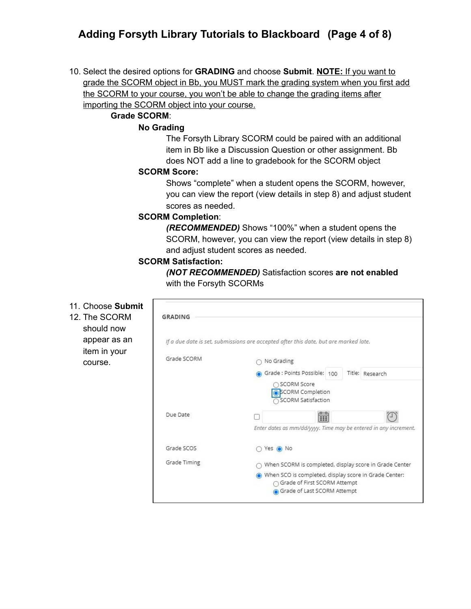## **Adding Forsyth Library Tutorials to Blackboard (Page 4 of 8)**

10. Select the desired options for **GRADING** and choose **Submit**. **NOTE:** If you want to grade the SCORM object in Bb, you MUST mark the grading system when you first add the SCORM to your course, you won't be able to change the grading items after importing the SCORM object into your course.

#### **Grade SCORM**:

#### **No Grading**

The Forsyth Library SCORM could be paired with an additional item in Bb like a Discussion Question or other assignment. Bb does NOT add a line to gradebook for the SCORM object

#### **SCORM Score:**

Shows "complete" when a student opens the SCORM, however, you can view the report (view details in step 8) and adjust student scores as needed.

#### **SCORM Completion**:

*(RECOMMENDED)* Shows "100%" when a student opens the SCORM, however, you can view the report (view details in step 8) and adjust student scores as needed.

#### **SCORM Satisfaction:**

11. Choose **Submit** 12. The SCORM **GRADING** should now appear as an If a due date is set, submissions are accepted after this date, but are marked late. item in your Grade SCORM  $\cap$  No Grading course.Grade: Points Possible: 100 Title: Research ○ SCORM Score SCORM Completion ○ SCORM Satisfaction Due Date  $\Box$ **FEE** L) Enter dates as mm/dd/yyyy. Time may be entered in any increment. Grade SCOS ○ Yes ● No Grade Timing ○ When SCORM is completed, display score in Grade Center When SCO is completed, display score in Grade Center: ○ Grade of First SCORM Attempt Grade of Last SCORM Attempt

*(NOT RECOMMENDED)* Satisfaction scores **are not enabled** with the Forsyth SCORMs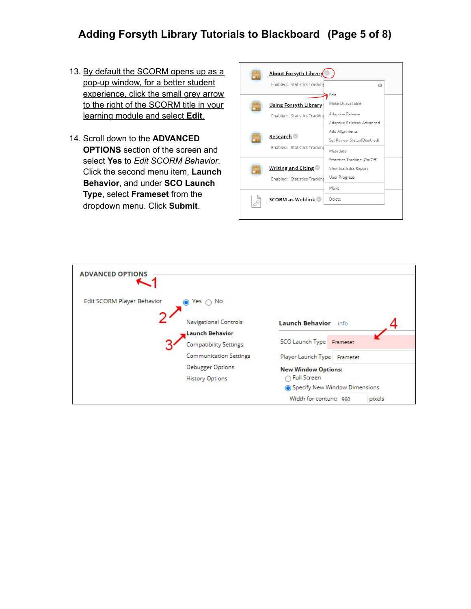## **Adding Forsyth Library Tutorials to Blackboard (Page 5 of 8)**

- 13. By default the SCORM opens up as a pop-up window, for a better student experience, click the small grey arrow to the right of the SCORM title in your learning module and select **Edit**.
- 14. Scroll down to the **ADVANCED OPTIONS** section of the screen and select **Yes** to *Edit SCORM Behavior*. Click the second menu item, **Launch Behavior**, and under **SCO Launch Type**, select **Frameset** from the dropdown menu. Click **Submit**.

| <u> About Forsyth Library</u>                                |                                                                         |
|--------------------------------------------------------------|-------------------------------------------------------------------------|
| Enabled: Statistics Tracking                                 | $\Omega$                                                                |
|                                                              | Edit<br>Make Unavailable                                                |
| <u>Using Forsyth Library</u><br>Enabled: Statistics Tracking | Adaptive Release<br>Adaptive Release: Advanced                          |
| Research                                                     | Add Alignments<br>Set Review Status(Disabled)                           |
| Enabled: Statistics Tracking                                 | Metadata                                                                |
| Writing and Citing<br>Enabled: Statistics Tracking           | Statistics Tracking (On/Off)<br>View Statistics Report<br>User Progress |
|                                                              | Move                                                                    |
| <b>SCORM as Weblink</b>                                      | Delete                                                                  |

| <b>ADVANCED OPTIONS</b>                     |                                  |
|---------------------------------------------|----------------------------------|
| Edit SCORM Player Behavior<br>Yes $\cap$ No |                                  |
| Navigational Controls                       | Launch Behavior info             |
| <b>Launch Behavior</b>                      |                                  |
| <b>Compatibility Settings</b>               | SCO Launch Type Frameset         |
| <b>Communication Settings</b>               | Player Launch Type Frameset      |
| <b>Debugger Options</b>                     | <b>New Window Options:</b>       |
| <b>History Options</b>                      | Full Screen                      |
|                                             | Specify New Window Dimensions    |
|                                             | Width for content: 960<br>pixels |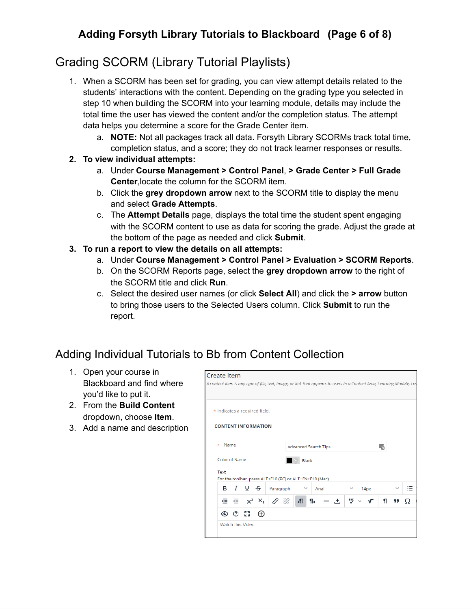## **Adding Forsyth Library Tutorials to Blackboard (Page 6 of 8)**

# Grading SCORM (Library Tutorial Playlists)

- 1. When a SCORM has been set for grading, you can view attempt details related to the students' interactions with the content. Depending on the grading type you selected in step 10 when building the SCORM into your learning module, details may include the total time the user has viewed the content and/or the completion status. The attempt data helps you determine a score for the Grade Center item.
	- a. **NOTE:** Not all packages track all data. Forsyth Library SCORMs track total time, completion status, and a score; they do not track learner responses or results.
- **2. To view individual attempts:**
	- a. Under **Course Management > Control Panel**, **> Grade Center > Full Grade Center**,locate the column for the SCORM item.
	- b. Click the **grey dropdown arrow** next to the SCORM title to display the menu and select **Grade Attempts**.
	- c. The **Attempt Details** page, displays the total time the student spent engaging with the SCORM content to use as data for scoring the grade. Adjust the grade at the bottom of the page as needed and click **Submit**.
- **3. To run a report to view the details on all attempts:**
	- a. Under **Course Management > Control Panel > Evaluation > SCORM Reports**.
	- b. On the SCORM Reports page, select the **grey dropdown arrow** to the right of the SCORM title and click **Run**.
	- c. Select the desired user names (or click **Select All**) and click the **> arrow** button to bring those users to the Selected Users column. Click **Submit** to run the report.

## Adding Individual Tutorials to Bb from Content Collection

- 1. Open your course in Blackboard and find where you'd like to put it.
- 2. From the **Build Content** dropdown, choose **Item**.
- 3. Add a name and description

| <b>Create Item</b>                                                                                                     |           |              |                      |   |              |      |     |    |    |
|------------------------------------------------------------------------------------------------------------------------|-----------|--------------|----------------------|---|--------------|------|-----|----|----|
| A content item is any type of file, text, image, or link that appears to users in a Content Area, Learning Module, Les |           |              |                      |   |              |      |     |    |    |
|                                                                                                                        |           |              |                      |   |              |      |     |    |    |
|                                                                                                                        |           |              |                      |   |              |      |     |    |    |
| * Indicates a required field.                                                                                          |           |              |                      |   |              |      |     |    |    |
| <b>CONTENT INFORMATION</b>                                                                                             |           |              |                      |   |              |      |     |    |    |
|                                                                                                                        |           |              |                      |   |              |      |     |    |    |
| Name<br>$\star$                                                                                                        |           |              |                      |   |              |      |     |    |    |
|                                                                                                                        |           |              | Advanced Search Tips |   |              |      | است |    |    |
| Color of Name                                                                                                          |           | <b>Black</b> |                      |   |              |      |     |    |    |
| Text                                                                                                                   |           |              |                      |   |              |      |     |    |    |
| For the toolbar, press ALT+F10 (PC) or ALT+FN+F10 (Mac).                                                               |           |              |                      |   |              |      |     |    |    |
| $I \cup \mathbf{S}$<br>в                                                                                               | Paragraph | $\checkmark$ | Arial                |   | $\checkmark$ | 14px |     |    | ιΞ |
| $\times^2$ $\times_2$<br>狂 召り                                                                                          | 8 ° C     | $\sqrt{ }$   | ¶<                   | 出 | 明            | ᠂    | T   | 99 |    |
| 통계<br>⊕<br>⊙<br>℗                                                                                                      |           |              |                      |   |              |      |     |    |    |
| <b>Watch this Video</b>                                                                                                |           |              |                      |   |              |      |     |    |    |
|                                                                                                                        |           |              |                      |   |              |      |     |    |    |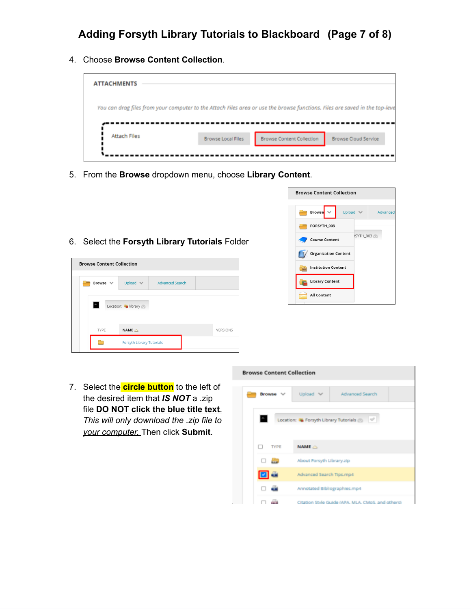4. Choose **Browse Content Collection**.



- 5. From the **Browse** dropdown menu, choose **Library Content**.
- 6. Select the **Forsyth Library Tutorials** Folder





7. Select the **circle button** to the left of the desired item that *IS NOT* a .zip file **DO NOT click the blue title text**. *This will only download the .zip file to your computer.* Then click **Submit**.

|               |                           | <b>Browse Content Collection</b>                   |  |  |  |  |  |
|---------------|---------------------------|----------------------------------------------------|--|--|--|--|--|
|               |                           |                                                    |  |  |  |  |  |
| <b>Browse</b> | Upload V                  | Advanced Search                                    |  |  |  |  |  |
| E             |                           | Location: C Forsyth Library Tutorials              |  |  |  |  |  |
| <b>TYPE</b>   | $NAME$ $\triangle$        |                                                    |  |  |  |  |  |
|               | About Forsyth Library.zip |                                                    |  |  |  |  |  |
| 08            | Advanced Search Tips.mp4  |                                                    |  |  |  |  |  |
|               |                           | Annotated Bibliographies.mp4                       |  |  |  |  |  |
|               |                           | Citation Style Guide (APA, MLA, CMoS, and others). |  |  |  |  |  |